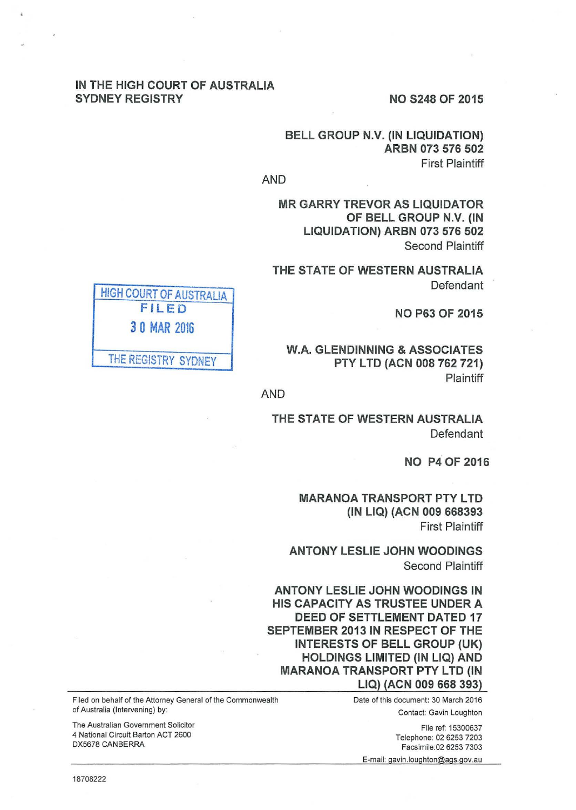#### IN THE HIGH COURT OF AUSTRALIA SYDNEY REGISTRY NO S248 OF 2015

# BELL GROUP N.V. (IN LIQUIDATION) ARBN 073 576 502 First Plaintiff

AND

MR GARRY TREVOR AS LIQUIDATOR OF BELL GROUP N.V. (IN LIQUIDATION) ARBN 073 576 502 Second Plaintiff

THE STATE OF WESTERN AUSTRALIA Defendant

NO P63 OF 2015

W.A. GLENDINNING & ASSOCIATES PTY LTD (ACN 008 762 721) Plaintiff

AND

THE STATE OF WESTERN AUSTRALIA Defendant

NO P4 OF 2016

**MARANOA TRANSPORT PTY LTD** (IN LIQ) (ACN 009 668393 First Plaintiff

ANTONY LESLIE JOHN WOODINGS Second Plaintiff

ANTONY LESLIE JOHN WOODINGS IN HIS CAPACITY AS TRUSTEE UNDER A DEED OF SETTLEMENT DATED 17 SEPTEMBER 2013 IN RESPECT OF THE INTERESTS OF BELL GROUP (UK) HOLDINGS LIMITED (IN LIQ) AND **MARANOA TRANSPORT PTY LTD (IN** LIQ) (ACN 009 668 393)

Filed on behalf of the Attorney General of the Commonwealth Date of this document: 30 March 2016 Contact: Gavin Loughton

> File ref: 15300637 Telephone: 02 6253 7203 Facsimile:02 6253 7303

E-mail: gavin .loughton@ags.gov.au

HIGH COURT OF AUSTRALIA FILED 3 0 MAR 2016 THE REGISTRY SYDNEY

18708222

of Australia (Intervening) by:

DX5678 CANBERRA

The Australian Government Solicitor 4 National Circuit Barton ACT 2600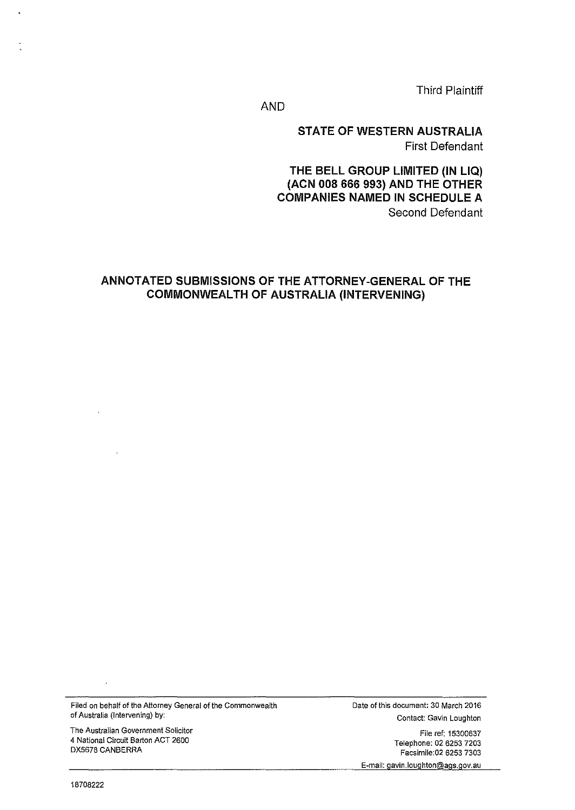Third Plaintiff

AND

STATE OF WESTERN AUSTRALIA First Defendant

THE BELL GROUP LIMITED (IN LIQ) (ACN 008 666 993) AND THE OTHER COMPANIES NAMED IN SCHEDULE A Second Defendant

# ANNOTATED SUBMISSIONS OF THE ATTORNEY-GENERAL OF THE COMMONWEALTH OF AUSTRALIA (INTERVENING)

Filed on behalf of the Attorney General of the Commonwealth of Australia (Intervening) by:

The Australian Government Solicitor 4 National Circuit Barton ACT 2600 DX5678 CANBERRA

Date of this document: 30 March 2016 Contact: Gavin Loughton

File ref: 15300637 Telephone: 02 6253 7203 Facsimile:02 6253 7303 E-mail: gavin.loughton@ags.gov.au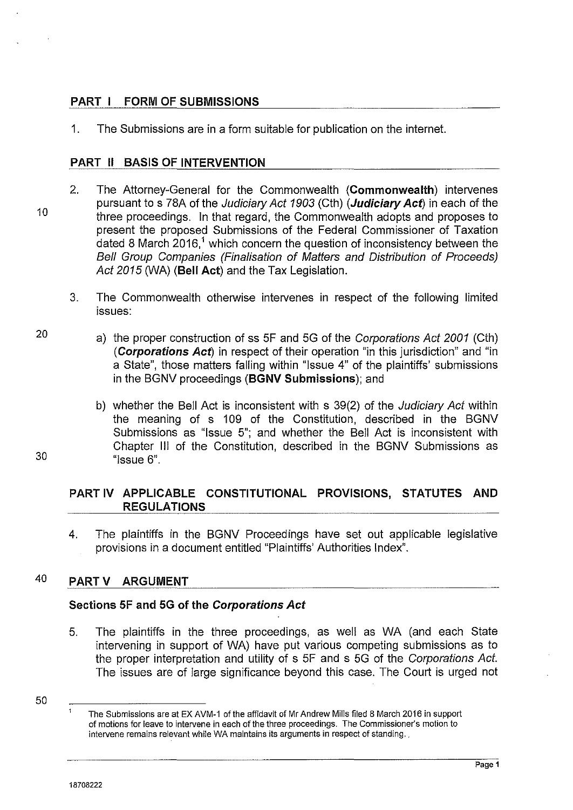# **PART I FORM OF SUBMISSIONS**

1. The Submissions are in a form suitable for publication on the internet.

#### **PART 11 BASIS OF INTERVENTION**

- 2. The Attorney-General for the Commonwealth **(Commonwealth)** intervenes pursuant to s 78A of the Judiciary Act 1903 (Cth) **(Judiciary Act)** in each of the three proceedings. In that regard, the Commonwealth adopts and proposes to present the proposed Submissions of the Federal Commissioner of Taxation dated 8 March 2016,<sup>1</sup> which concern the question of inconsistency between the Bell Group Companies (Finalisation of Matters and Distribution of Proceeds) Act 2015 (WA) **(Bell Act)** and the Tax Legislation.
	- 3. The Commonwealth otherwise intervenes in respect of the following limited issues:
		- a) the proper construction of ss 5F and 5G of the Corporations Act 2001 (Cth) **(Corporations Act)** in respect of their operation "in this jurisdiction" and "in a State", those matters falling within "Issue 4" of the plaintiffs' submissions in the BGNV proceedings **(BGNV Submissions);** and
		- b) whether the Bell Act is inconsistent with s 39(2) of the *Judiciary Act* within the meaning of s 109 of the Constitution, described in the BGNV Submissions as "Issue 5"; and whether the Bell Act is inconsistent with Chapter Ill of the Constitution, described in the BGNV Submissions as "Issue 6".

# **PART IV APPLICABLE CONSTITUTIONAL PROVISIONS, STATUTES AND REGULATIONS**

4. The plaintiffs in the BGNV Proceedings have set out applicable legislative provisions in a document entitled "Plaintiffs' Authorities Index".

# 40 **PART V ARGUMENT**

## **Sections SF and SG of the Corporations Act**

- 5. The plaintiffs in the three proceedings, as well as WA (and each State intervening in support of WA) have put various competing submissions as to the proper interpretation and utility of s 5F and s 5G of the Corporations Act. The issues are of large significance beyond this case. The Court is urged not
- 50

**Page 1** 

30

10

20

 $\overline{1}$ The Submissions are at EX AVM-1 of the affidavit of Mr Andrew Mills filed 8 March 2016 in support of motions for leave to intervene in each of the three proceedings. The Commissioner's motion to intervene remains relevant while WA maintains its arguments in respect of standing.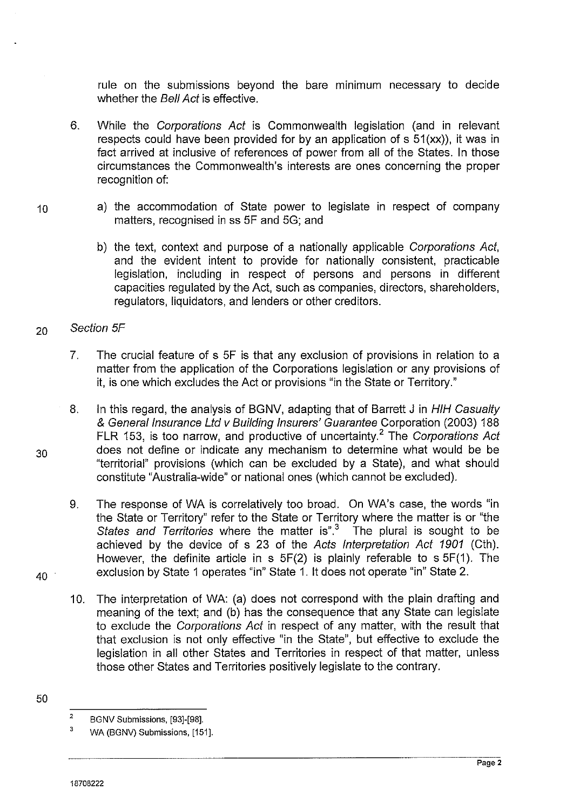rule on the submissions beyond the bare minimum necessary to decide whether the **Bell Act** is effective.

- 6. While the Corporations Act is Commonwealth legislation (and in relevant respects could have been provided for by an application of s 51(xx)), it was in fact arrived at inclusive of references of power from all of the States. In those circumstances the Commonwealth's interests are ones concerning the proper recognition of:
- 10 a) the accommodation of State power to legislate in respect of company matters, recognised in ss SF and 5G; and
	- b) the text, context and purpose of a nationally applicable Corporations Act, and the evident intent to provide for nationally consistent, practicable legislation, including in respect of persons and persons in different capacities regulated by the Act, such as companies, directors, shareholders, regulators, liquidators, and lenders or other creditors.
- 20 Section 5F
	- 7. The crucial feature of s SF is that any exclusion of provisions in relation to a matter from the application of the Corporations legislation or any provisions of it, is one which excludes the Act or provisions "in the State or Territory."
- 8. In this regard, the analysis of BGNV, adapting that of Barrett J in HIH Casualty & General Insurance Ltd v Building Insurers' Guarantee Corporation (2003) 188 FLR 153, is too narrow, and productive of uncertainty.<sup>2</sup> The Corporations Act 30 does not define or indicate any mechanism to determine what would be be "territorial" provisions (which can be excluded by a State), and what should constitute "Australia-wide" or national ones (which cannot be excluded).
- 9. The response of WA is correlatively too broad. On WA's case, the words "in the State or Territory" refer to the State or Territory where the matter is or "the States and Territories where the matter is".<sup>3</sup> The plural is sought to be achieved by the device of s 23 of the Acts Interpretation Act 1901 (Cth). However, the definite article in  $s$  5F(2) is plainly referable to  $s$  5F(1). The  $40$  exclusion by State 1 operates "in" State 1. It does not operate "in" State 2.
- 
- 10. The interpretation of WA: (a) does not correspond with the plain drafting and meaning of the text; and (b) has the consequence that any State can legislate to exclude the Corporations Act in respect of any matter, with the result that that exclusion is not only effective "in the State", but effective to exclude the legislation in all other States and Territories in respect of that matter, unless those other States and Territories positively legislate to the contrary.
- 50

<sup>2</sup>  BGNV Submissions, [93]-[98].

<sup>3</sup>  WA (BGNV) Submissions, [151].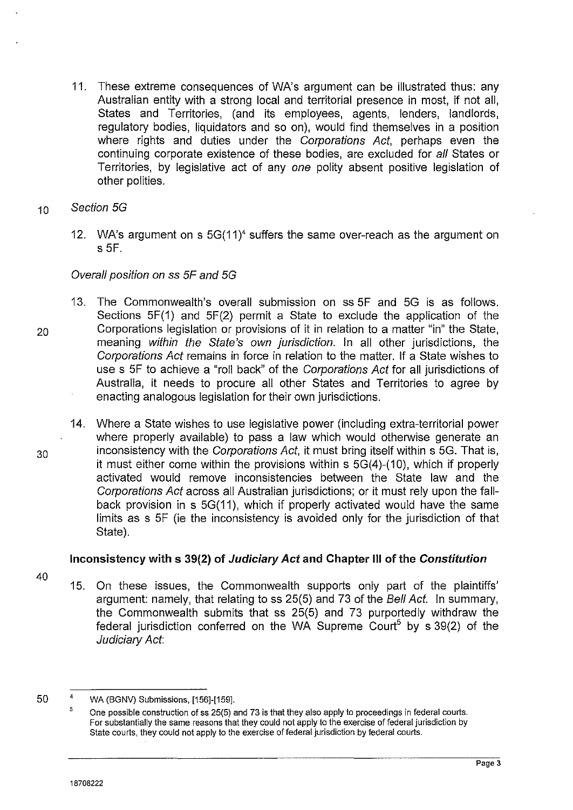- 11. These extreme consequences of WA's argument can be illustrated thus: any Australian entity with a strong local and territorial presence in most, if not all, States and Territories, (and its employees, agents, lenders, landlords, regulatory bodies, liquidators and so on), would find themselves in a position where rights and duties under the Corporations Act, perhaps even the continuing corporate existence of these bodies, are excluded for all States or Territories, by legislative act of any one polity absent positive legislation of other polities.
- <sup>1</sup>o Section 5G
	- 12. WA's argument on s 5G(11)< suffers the same over-reach as the argument on s 5F.

#### Overall position on ss 5F and 5G

- 13. The Commonwealth's overall submission on ss 5F and 5G is as follows. Sections 5F(1) and 5F(2) permit a State to exclude the application of the 20 Corporations legislation or provisions of it in relation to a matter "in" the State, meaning within the State's own jurisdiction. In all other jurisdictions, the Corporations Act remains in force in relation to the matter. If a State wishes to use s 5F to achieve a "roll back" of the Corporations Act for all jurisdictions of Australia, it needs to procure all other States and Territories to agree by enacting analogous legislation for their own jurisdictions.
- 14. Where a State wishes to use legislative power (including extra-territorial power where properly available) to pass a law which would otherwise generate an 30 inconsistency with the Corporations Act, it must bring itself within s 5G. That is, it must either come within the provisions within  $s$  5G(4)-(10), which if properly activated would remove inconsistencies between the State law and the Corporations Act across all Australian jurisdictions; or it must rely upon the fallback provision in s 5G(11 ), which if properly activated would have the same limits as s 5F (ie the inconsistency is avoided only for the jurisdiction of that State).

## Inconsistency with s 39(2) of Judiciary Act and Chapter Ill of the Constitution

- 40
- 15. On these issues, the Commonwealth supports only part of the plaintiffs' argument: namely, that relating to ss 25(5) and 73 of the Bell Act. In summary, the Commonwealth submits that ss 25(5) and 73 purportedly withdraw the federal jurisdiction conferred on the WA Supreme  $Count<sup>5</sup>$  by s 39(2) of the Judiciary Act:

<sup>50</sup>  4 WA (BGNV) Submissions, [156]-[159].

<sup>5</sup>  One possible construction of ss 25(5) and 73 is that they also apply to proceedings in federal courts. For substantially the same reasons that they could not apply to the exercise of federal jurisdiction by State courts, they could not apply to the exercise of federal jurisdiction by federal courts.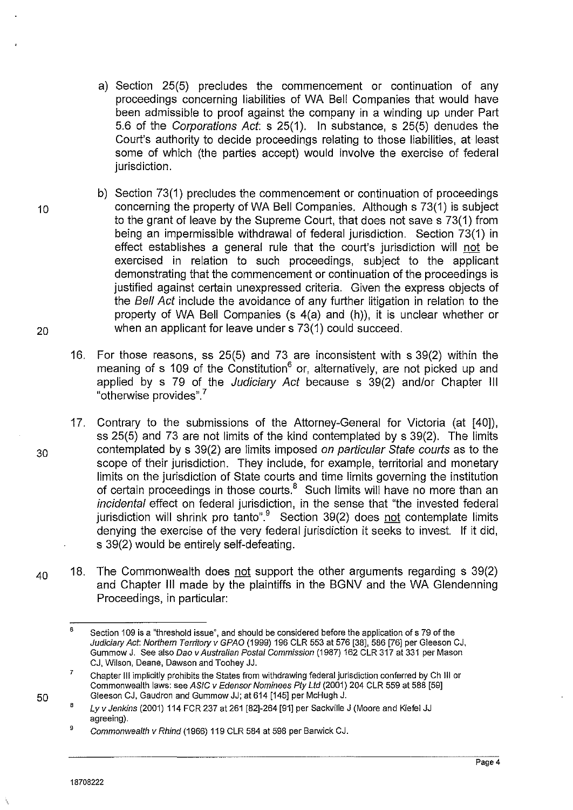- a) Section 25(5) precludes the commencement or continuation of any proceedings concerning liabilities of WA Bell Companies that would have been admissible to proof against the company in a winding up under Part 5.6 of the Corporations Act: s 25(1). In substance, s 25(5) denudes the Court's authority to decide proceedings relating to those liabilities, at least some of which (the parties accept) would involve the exercise of federal jurisdiction.
- b) Section 73(1) precludes the commencement or continuation of proceedings 10 concerning the property of WA Bell Companies. Although s 73(1) is subject to the grant of leave by the Supreme Court, that does not save s 73(1) from being an impermissible withdrawal of federal jurisdiction. Section 73(1) in effect establishes a general rule that the court's jurisdiction will not be exercised in relation to such proceedings, subject to the applicant demonstrating that the commencement or continuation of the proceedings is justified against certain unexpressed criteria. Given the express objects of the Bell Act include the avoidance of any further litigation in relation to the property of WA Bell Companies (s 4(a) and (h)), it is unclear whether or 20 when an applicant for leave under s 73(1) could succeed.
	- 16. For those reasons, ss 25(5) and 73 are inconsistent with s 39(2) within the meaning of s 109 of the Constitution<sup>6</sup> or, alternatively, are not picked up and applied by s 79 of the Judiciary Act because s 39(2) and/or Chapter Ill "otherwise provides"\_?
	- 17. Contrary to the submissions of the Attorney-General for Victoria (at [40]), ss 25(5) and 73 are not limits of the kind contemplated by s 39(2). The limits contemplated by s 39(2) are limits imposed on particular State courts as to the scope of their jurisdiction. They include, for example, territorial and monetary limits on the jurisdiction of State courts and time limits governing the institution of certain proceedings in those courts. $8$  Such limits will have no more than an incidental effect on federal jurisdiction, in the sense that "the invested federal jurisdiction will shrink pro tanto".<sup>9</sup> Section 39(2) does not contemplate limits denying the exercise of the very federal jurisdiction it seeks to invest. If it did, s 39(2) would be entirely self-defeating.
- 40 18. The Commonwealth does not support the other arguments regarding s 39(2) and Chapter Ill made by the plaintiffs in the BGNV and the WA Glendenning Proceedings, in particular:

30

50

<sup>6</sup>  Section 109 is a "threshold issue", and should be considered before the application of s 79 of the Judiciary Act: Northern Territory v GPAO (1999) 196 CLR 553 at 576 [38], 586 [76] per Gleeson CJ, Gummow J. See also Dao v Australian Postal Commission (1987) 162 CLR 317 at 331 per Mason CJ, Wilson, Deane, Dawson and Toohey JJ.

<sup>7</sup>  Chapter Ill implicitly prohibits the States from withdrawing federal jurisdiction conferred by Ch Ill or Commonwealth laws: see ASIC v Edensor Nominees Pty Ltd (2001) 204 CLR 559 at 588 [59] Gleeson CJ, Gaudron and Gummow JJ; at 614 [145] per McHugh J.

<sup>8</sup>  Ly v Jenkins (2001) 114 FCR 237 at 261 [82]-264 [91] per Sackville J (Moore and Kiefel JJ agreeing).

<sup>9</sup>  Commonwealth v Rhind (1966) 119 CLR 584 at 598 per Barwick CJ.